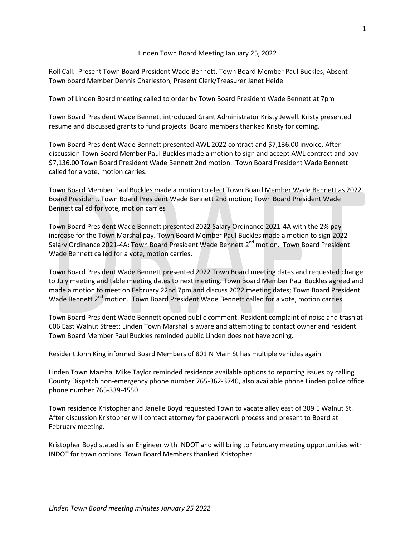## Linden Town Board Meeting January 25, 2022

Roll Call: Present Town Board President Wade Bennett, Town Board Member Paul Buckles, Absent Town board Member Dennis Charleston, Present Clerk/Treasurer Janet Heide

Town of Linden Board meeting called to order by Town Board President Wade Bennett at 7pm

Town Board President Wade Bennett introduced Grant Administrator Kristy Jewell. Kristy presented resume and discussed grants to fund projects .Board members thanked Kristy for coming.

Town Board President Wade Bennett presented AWL 2022 contract and \$7,136.00 invoice. After discussion Town Board Member Paul Buckles made a motion to sign and accept AWL contract and pay \$7,136.00 Town Board President Wade Bennett 2nd motion. Town Board President Wade Bennett called for a vote, motion carries.

Town Board Member Paul Buckles made a motion to elect Town Board Member Wade Bennett as 2022 Board President. Town Board President Wade Bennett 2nd motion; Town Board President Wade Bennett called for vote, motion carries

Town Board President Wade Bennett presented 2022 Salary Ordinance 2021-4A with the 2% pay increase for the Town Marshal pay. Town Board Member Paul Buckles made a motion to sign 2022 Salary Ordinance 2021-4A; Town Board President Wade Bennett 2<sup>nd</sup> motion. Town Board President Wade Bennett called for a vote, motion carries.

Town Board President Wade Bennett presented 2022 Town Board meeting dates and requested change to July meeting and table meeting dates to next meeting. Town Board Member Paul Buckles agreed and made a motion to meet on February 22nd 7pm and discuss 2022 meeting dates; Town Board President Wade Bennett 2<sup>nd</sup> motion. Town Board President Wade Bennett called for a vote, motion carries.

Town Board President Wade Bennett opened public comment. Resident complaint of noise and trash at 606 East Walnut Street; Linden Town Marshal is aware and attempting to contact owner and resident. Town Board Member Paul Buckles reminded public Linden does not have zoning.

Resident John King informed Board Members of 801 N Main St has multiple vehicles again

Linden Town Marshal Mike Taylor reminded residence available options to reporting issues by calling County Dispatch non-emergency phone number 765-362-3740, also available phone Linden police office phone number 765-339-4550

Town residence Kristopher and Janelle Boyd requested Town to vacate alley east of 309 E Walnut St. After discussion Kristopher will contact attorney for paperwork process and present to Board at February meeting.

Kristopher Boyd stated is an Engineer with INDOT and will bring to February meeting opportunities with INDOT for town options. Town Board Members thanked Kristopher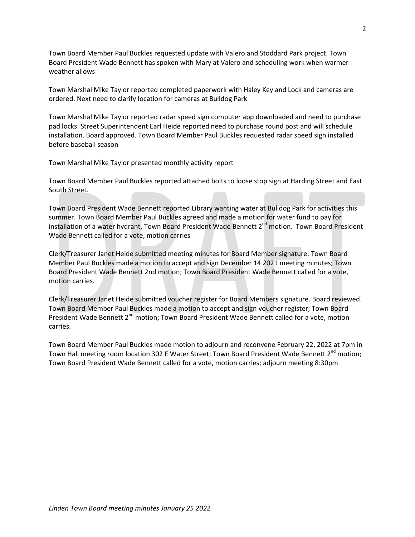Town Board Member Paul Buckles requested update with Valero and Stoddard Park project. Town Board President Wade Bennett has spoken with Mary at Valero and scheduling work when warmer weather allows

Town Marshal Mike Taylor reported completed paperwork with Haley Key and Lock and cameras are ordered. Next need to clarify location for cameras at Bulldog Park

Town Marshal Mike Taylor reported radar speed sign computer app downloaded and need to purchase pad locks. Street Superintendent Earl Heide reported need to purchase round post and will schedule installation. Board approved. Town Board Member Paul Buckles requested radar speed sign installed before baseball season

Town Marshal Mike Taylor presented monthly activity report

Town Board Member Paul Buckles reported attached bolts to loose stop sign at Harding Street and East South Street.

Town Board President Wade Bennett reported Library wanting water at Bulldog Park for activities this summer. Town Board Member Paul Buckles agreed and made a motion for water fund to pay for installation of a water hydrant, Town Board President Wade Bennett 2<sup>nd</sup> motion. Town Board President Wade Bennett called for a vote, motion carries

Clerk/Treasurer Janet Heide submitted meeting minutes for Board Member signature. Town Board Member Paul Buckles made a motion to accept and sign December 14 2021 meeting minutes; Town Board President Wade Bennett 2nd motion; Town Board President Wade Bennett called for a vote, motion carries.

Clerk/Treasurer Janet Heide submitted voucher register for Board Members signature. Board reviewed. Town Board Member Paul Buckles made a motion to accept and sign voucher register; Town Board President Wade Bennett 2<sup>nd</sup> motion; Town Board President Wade Bennett called for a vote, motion carries.

Town Board Member Paul Buckles made motion to adjourn and reconvene February 22, 2022 at 7pm in Town Hall meeting room location 302 E Water Street; Town Board President Wade Bennett 2<sup>nd</sup> motion; Town Board President Wade Bennett called for a vote, motion carries; adjourn meeting 8:30pm